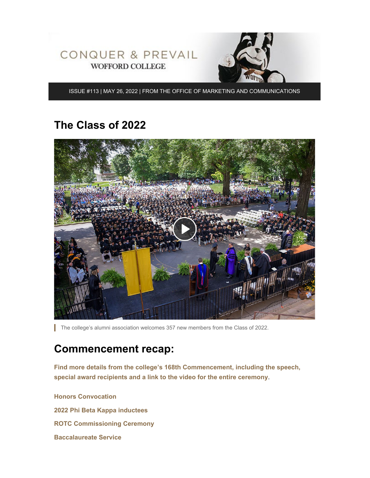

ISSUE #113 | MAY 26, 2022 | FROM THE OFFICE OF MARKETING AND COMMUNICATIONS

#### **The Class of 2022**



The college's alumni association welcomes 357 new members from the Class of 2022.

## **Commencement recap:**

**[Find more details from the college's 168th Commencement, including the speech,](https://www.wofford.edu/about/news/news-archives/2022/commencement) [special award recipients and a link to the video for the entire ceremony](https://www.wofford.edu/about/news/news-archives/2022/commencement)**.

**[Honors Convocation](https://www.wofford.edu/about/news/news-archives/2022/award-recipients) [2022 Phi Beta Kappa inductees](https://www.wofford.edu/about/news/news-archives/2022/phi-beta-kappa) [ROTC Commissioning Ceremony](https://www.youtube.com/watch?v=fOgRYW9Pm30) [Baccalaureate Service](https://www.youtube.com/watch?v=Pce6LYC96yU)**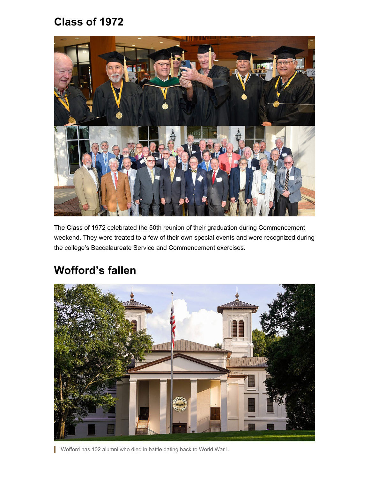## **Class of 1972**



The Class of 1972 celebrated the 50th reunion of their graduation during Commencement weekend. They were treated to a few of their own special events and were recognized during the college's Baccalaureate Service and Commencement exercises.

## **Wofford's fallen**



Wofford has 102 alumni who died in battle dating back to World War I.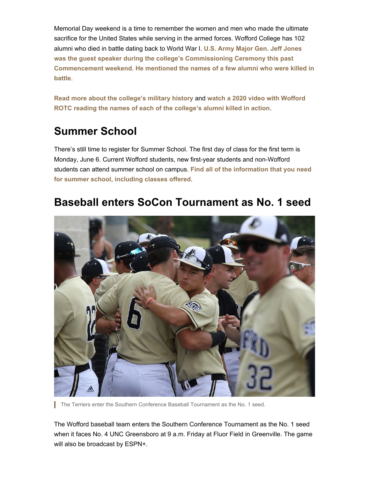Memorial Day weekend is a time to remember the women and men who made the ultimate sacrifice for the United States while serving in the armed forces. Wofford College has 102 alumni who died in battle dating back to World War I. **[U.S. Army Major Gen. Jeff Jones](https://youtu.be/az2BfORhNCE) [was the guest speaker during the college's Commissioning Ceremony this past](https://youtu.be/az2BfORhNCE) [Commencement weekend. He mentioned the names of a few alumni who were killed in](https://youtu.be/az2BfORhNCE) [battle](https://youtu.be/az2BfORhNCE)**.

**[Read more about the college's military history](https://www.wofford.edu/about/news/news-archives/2021/woffords-fallen)** and **[watch a 2020 video with Wofford](https://www.youtube.com/watch?v=wJrhAFtQ6X0) [ROTC reading the names of each of the college's alumni killed in action](https://www.youtube.com/watch?v=wJrhAFtQ6X0)**.

# **Summer School**

There's still time to register for Summer School. The first day of class for the first term is Monday, June 6. Current Wofford students, new first-year students and non-Wofford students can attend summer school on campus. **[Find all of the information that you need](https://www.wofford.edu/academics/registrar/summer-school) [for summer school, including classes offered](https://www.wofford.edu/academics/registrar/summer-school)**.

## **Baseball enters SoCon Tournament as No. 1 seed**



The Terriers enter the Southern Conference Baseball Tournament as the No. 1 seed.

The Wofford baseball team enters the Southern Conference Tournament as the No. 1 seed when it faces No. 4 UNC Greensboro at 9 a.m. Friday at Fluor Field in Greenville. The game will also be broadcast by ESPN+.